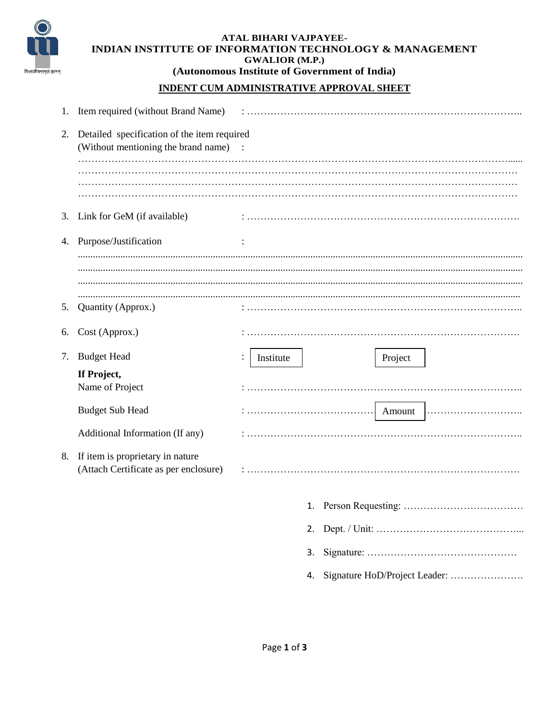

### **ATAL BIHARI VAJPAYEE-INDIAN INSTITUTE OF INFORMATION TECHNOLOGY & MANAGEMENT GWALIOR (M.P.) (Autonomous Institute of Government of India)**

## **INDENT CUM ADMINISTRATIVE APPROVAL SHEET**

| 1. | Item required (without Brand Name)                                                   |           |                                     |
|----|--------------------------------------------------------------------------------------|-----------|-------------------------------------|
| 2. | Detailed specification of the item required<br>(Without mentioning the brand name) : | .         |                                     |
|    |                                                                                      |           |                                     |
|    |                                                                                      |           |                                     |
| 3. | Link for GeM (if available)                                                          |           |                                     |
| 4. | Purpose/Justification                                                                |           |                                     |
|    |                                                                                      |           |                                     |
|    |                                                                                      |           |                                     |
| 5. | Quantity (Approx.)                                                                   |           |                                     |
| 6. | Cost (Approx.)                                                                       |           |                                     |
| 7. | <b>Budget Head</b>                                                                   | Institute | Project                             |
|    | If Project,<br>Name of Project                                                       |           |                                     |
|    | <b>Budget Sub Head</b>                                                               |           |                                     |
|    | Additional Information (If any)                                                      |           |                                     |
| 8. | If item is proprietary in nature<br>(Attach Certificate as per enclosure)            |           |                                     |
|    |                                                                                      |           |                                     |
|    |                                                                                      |           | 2.                                  |
|    |                                                                                      |           | 3.                                  |
|    |                                                                                      |           | Signature HoD/Project Leader:<br>4. |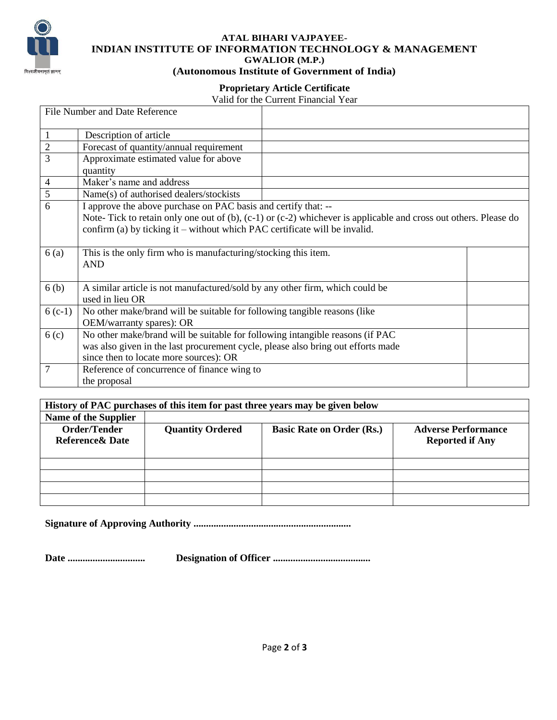

#### **ATAL BIHARI VAJPAYEE-INDIAN INSTITUTE OF INFORMATION TECHNOLOGY & MANAGEMENT GWALIOR (M.P.) (Autonomous Institute of Government of India)**

# **Proprietary Article Certificate**

### Valid for the Current Financial Year

| File Number and Date Reference |                                                                                                                        |  |  |  |
|--------------------------------|------------------------------------------------------------------------------------------------------------------------|--|--|--|
| 1                              | Description of article                                                                                                 |  |  |  |
| $\overline{2}$                 | Forecast of quantity/annual requirement                                                                                |  |  |  |
| 3                              | Approximate estimated value for above                                                                                  |  |  |  |
|                                | quantity                                                                                                               |  |  |  |
| 4                              | Maker's name and address                                                                                               |  |  |  |
| 5                              | Name(s) of authorised dealers/stockists                                                                                |  |  |  |
| 6                              | I approve the above purchase on PAC basis and certify that: --                                                         |  |  |  |
|                                | Note-Tick to retain only one out of $(b)$ , $(c-1)$ or $(c-2)$ whichever is applicable and cross out others. Please do |  |  |  |
|                                | confirm (a) by ticking it – without which PAC certificate will be invalid.                                             |  |  |  |
|                                |                                                                                                                        |  |  |  |
| 6(a)                           | This is the only firm who is manufacturing/stocking this item.                                                         |  |  |  |
|                                | <b>AND</b>                                                                                                             |  |  |  |
|                                |                                                                                                                        |  |  |  |
| 6 <sub>(b)</sub>               | A similar article is not manufactured/sold by any other firm, which could be                                           |  |  |  |
|                                | used in lieu OR                                                                                                        |  |  |  |
| $6(c-1)$                       | No other make/brand will be suitable for following tangible reasons (like                                              |  |  |  |
|                                | OEM/warranty spares): OR                                                                                               |  |  |  |
| 6 <sub>(c)</sub>               | No other make/brand will be suitable for following intangible reasons (if PAC                                          |  |  |  |
|                                | was also given in the last procurement cycle, please also bring out efforts made                                       |  |  |  |
|                                | since then to locate more sources): OR                                                                                 |  |  |  |
| 7                              | Reference of concurrence of finance wing to                                                                            |  |  |  |
|                                | the proposal                                                                                                           |  |  |  |

| History of PAC purchases of this item for past three years may be given below |                         |                                  |                            |  |  |  |  |  |
|-------------------------------------------------------------------------------|-------------------------|----------------------------------|----------------------------|--|--|--|--|--|
| Name of the Supplier                                                          |                         |                                  |                            |  |  |  |  |  |
| Order/Tender                                                                  | <b>Quantity Ordered</b> | <b>Basic Rate on Order (Rs.)</b> | <b>Adverse Performance</b> |  |  |  |  |  |
| <b>Reference &amp; Date</b>                                                   |                         |                                  | <b>Reported if Any</b>     |  |  |  |  |  |
|                                                                               |                         |                                  |                            |  |  |  |  |  |
|                                                                               |                         |                                  |                            |  |  |  |  |  |
|                                                                               |                         |                                  |                            |  |  |  |  |  |
|                                                                               |                         |                                  |                            |  |  |  |  |  |
|                                                                               |                         |                                  |                            |  |  |  |  |  |

**Signature of Approving Authority ...............................................................**

**Date ............................... Designation of Officer .......................................**